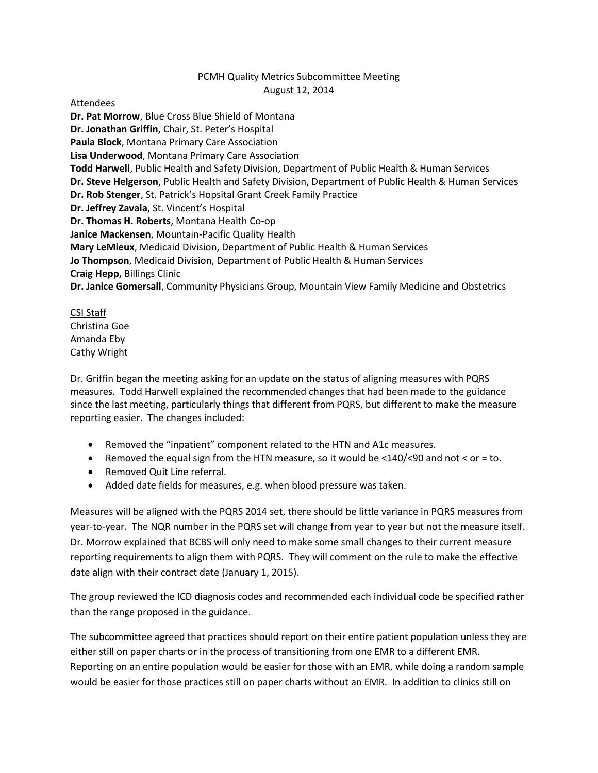## PCMH Quality Metrics Subcommittee Meeting August 12, 2014

## Attendees

**Dr. Pat Morrow**, Blue Cross Blue Shield of Montana **Dr. Jonathan Griffin**, Chair, St. Peter's Hospital **Paula Block**, Montana Primary Care Association **Lisa Underwood**, Montana Primary Care Association **Todd Harwell**, Public Health and Safety Division, Department of Public Health & Human Services **Dr. Steve Helgerson**, Public Health and Safety Division, Department of Public Health & Human Services **Dr. Rob Stenger**, St. Patrick's Hopsital Grant Creek Family Practice **Dr. Jeffrey Zavala**, St. Vincent's Hospital **Dr. Thomas H. Roberts**, Montana Health Co-op **Janice Mackensen**, Mountain-Pacific Quality Health **Mary LeMieux**, Medicaid Division, Department of Public Health & Human Services **Jo Thompson**, Medicaid Division, Department of Public Health & Human Services **Craig Hepp,** Billings Clinic **Dr. Janice Gomersall**, Community Physicians Group, Mountain View Family Medicine and Obstetrics

CSI Staff Christina Goe Amanda Eby Cathy Wright

Dr. Griffin began the meeting asking for an update on the status of aligning measures with PQRS measures. Todd Harwell explained the recommended changes that had been made to the guidance since the last meeting, particularly things that different from PQRS, but different to make the measure reporting easier. The changes included:

- Removed the "inpatient" component related to the HTN and A1c measures.
- **•** Removed the equal sign from the HTN measure, so it would be  $\langle 140 \rangle \langle 90 \rangle$  and not  $\langle$  or = to.
- Removed Quit Line referral.
- Added date fields for measures, e.g. when blood pressure was taken.

Measures will be aligned with the PQRS 2014 set, there should be little variance in PQRS measures from year-to-year. The NQR number in the PQRS set will change from year to year but not the measure itself. Dr. Morrow explained that BCBS will only need to make some small changes to their current measure reporting requirements to align them with PQRS. They will comment on the rule to make the effective date align with their contract date (January 1, 2015).

The group reviewed the ICD diagnosis codes and recommended each individual code be specified rather than the range proposed in the guidance.

The subcommittee agreed that practices should report on their entire patient population unless they are either still on paper charts or in the process of transitioning from one EMR to a different EMR. Reporting on an entire population would be easier for those with an EMR, while doing a random sample would be easier for those practices still on paper charts without an EMR. In addition to clinics still on